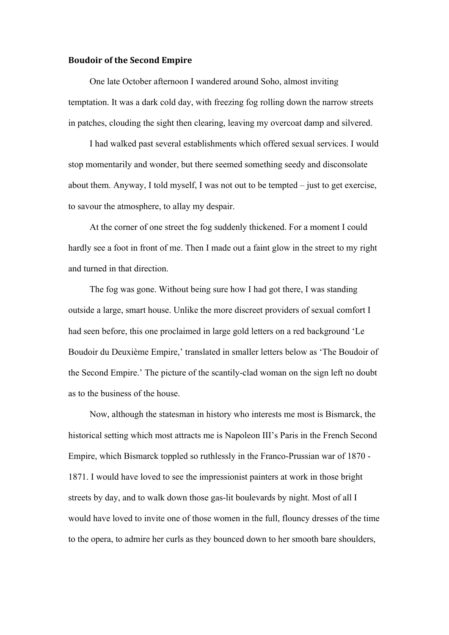## **Boudoir of the Second Empire**

One late October afternoon I wandered around Soho, almost inviting temptation. It was a dark cold day, with freezing fog rolling down the narrow streets in patches, clouding the sight then clearing, leaving my overcoat damp and silvered.

I had walked past several establishments which offered sexual services. I would stop momentarily and wonder, but there seemed something seedy and disconsolate about them. Anyway, I told myself, I was not out to be tempted – just to get exercise, to savour the atmosphere, to allay my despair.

At the corner of one street the fog suddenly thickened. For a moment I could hardly see a foot in front of me. Then I made out a faint glow in the street to my right and turned in that direction.

The fog was gone. Without being sure how I had got there, I was standing outside a large, smart house. Unlike the more discreet providers of sexual comfort I had seen before, this one proclaimed in large gold letters on a red background 'Le Boudoir du Deuxième Empire,' translated in smaller letters below as 'The Boudoir of the Second Empire.' The picture of the scantily-clad woman on the sign left no doubt as to the business of the house.

Now, although the statesman in history who interests me most is Bismarck, the historical setting which most attracts me is Napoleon III's Paris in the French Second Empire, which Bismarck toppled so ruthlessly in the Franco-Prussian war of 1870 - 1871. I would have loved to see the impressionist painters at work in those bright streets by day, and to walk down those gas-lit boulevards by night. Most of all I would have loved to invite one of those women in the full, flouncy dresses of the time to the opera, to admire her curls as they bounced down to her smooth bare shoulders,